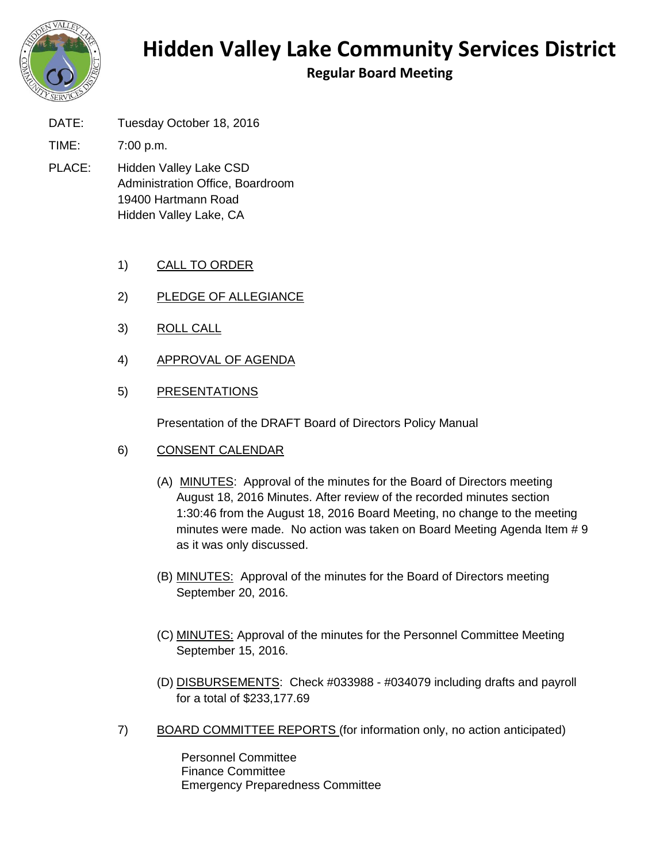

## **Hidden Valley Lake Community Services District**

**Regular Board Meeting**

DATE: Tuesday October 18, 2016

TIME: 7:00 p.m.

- PLACE: Hidden Valley Lake CSD Administration Office, Boardroom 19400 Hartmann Road Hidden Valley Lake, CA
	- 1) CALL TO ORDER
	- 2) PLEDGE OF ALLEGIANCE
	- 3) ROLL CALL
	- 4) APPROVAL OF AGENDA
	- 5) PRESENTATIONS

Presentation of the DRAFT Board of Directors Policy Manual

- 6) CONSENT CALENDAR
	- (A) MINUTES: Approval of the minutes for the Board of Directors meeting August 18, 2016 Minutes. After review of the recorded minutes section 1:30:46 from the August 18, 2016 Board Meeting, no change to the meeting minutes were made. No action was taken on Board Meeting Agenda Item # 9 as it was only discussed.
	- (B) MINUTES: Approval of the minutes for the Board of Directors meeting September 20, 2016.
	- (C) MINUTES: Approval of the minutes for the Personnel Committee Meeting September 15, 2016.
	- (D) DISBURSEMENTS: Check #033988 #034079 including drafts and payroll for a total of \$233,177.69
- 7) BOARD COMMITTEE REPORTS (for information only, no action anticipated)

Personnel Committee Finance Committee Emergency Preparedness Committee